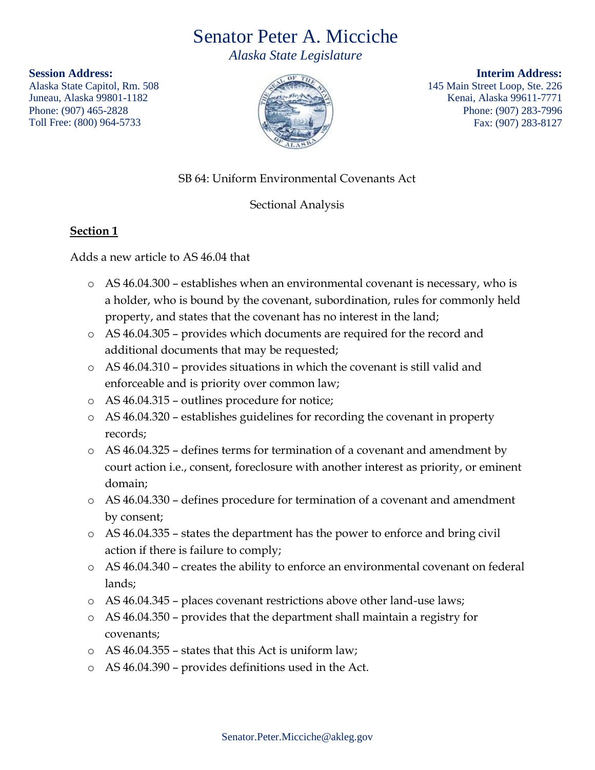# Senator Peter A. Micciche

*Alaska State Legislature* 

**Session Address:**

Alaska State Capitol, Rm. 508 Juneau, Alaska 99801-1182 Phone: (907) 465-2828 Toll Free: (800) 964-5733



**Interim Address:** 145 Main Street Loop, Ste. 226 Kenai, Alaska 99611-7771 Phone: (907) 283-7996 Fax: (907) 283-8127

## SB 64: Uniform Environmental Covenants Act

### Sectional Analysis

#### **Section 1**

#### Adds a new article to AS 46.04 that

- o AS 46.04.300 establishes when an environmental covenant is necessary, who is a holder, who is bound by the covenant, subordination, rules for commonly held property, and states that the covenant has no interest in the land;
- o AS 46.04.305 provides which documents are required for the record and additional documents that may be requested;
- $\circ$  AS 46.04.310 provides situations in which the covenant is still valid and enforceable and is priority over common law;
- o AS 46.04.315 outlines procedure for notice;
- o AS 46.04.320 establishes guidelines for recording the covenant in property records;
- o AS 46.04.325 defines terms for termination of a covenant and amendment by court action i.e., consent, foreclosure with another interest as priority, or eminent domain;
- o AS 46.04.330 defines procedure for termination of a covenant and amendment by consent;
- o AS 46.04.335 states the department has the power to enforce and bring civil action if there is failure to comply;
- o AS 46.04.340 creates the ability to enforce an environmental covenant on federal lands;
- o AS 46.04.345 places covenant restrictions above other land-use laws;
- o AS 46.04.350 provides that the department shall maintain a registry for covenants;
- o AS 46.04.355 states that this Act is uniform law;
- o AS 46.04.390 provides definitions used in the Act.